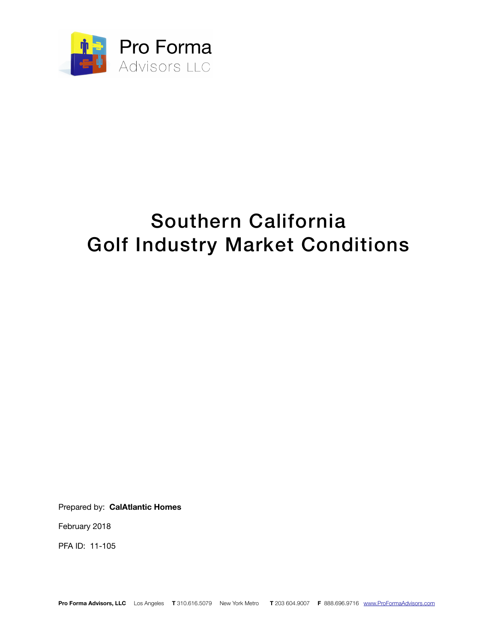

### Southern California Golf Industry Market Conditions

Prepared by: **CalAtlantic Homes**

February 2018

PFA ID: 11-105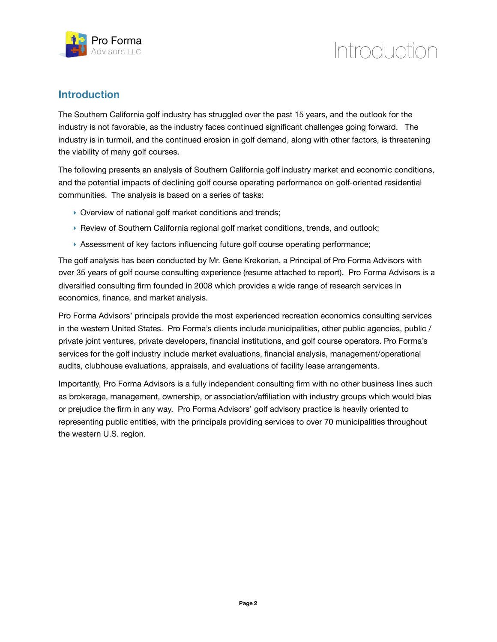

### Introduction

### **Introduction**

The Southern California golf industry has struggled over the past 15 years, and the outlook for the industry is not favorable, as the industry faces continued significant challenges going forward. The industry is in turmoil, and the continued erosion in golf demand, along with other factors, is threatening the viability of many golf courses.

The following presents an analysis of Southern California golf industry market and economic conditions, and the potential impacts of declining golf course operating performance on golf-oriented residential communities. The analysis is based on a series of tasks:

- ‣ Overview of national golf market conditions and trends;
- ‣ Review of Southern California regional golf market conditions, trends, and outlook;
- ‣ Assessment of key factors influencing future golf course operating performance;

The golf analysis has been conducted by Mr. Gene Krekorian, a Principal of Pro Forma Advisors with over 35 years of golf course consulting experience (resume attached to report). Pro Forma Advisors is a diversified consulting firm founded in 2008 which provides a wide range of research services in economics, finance, and market analysis.

Pro Forma Advisors' principals provide the most experienced recreation economics consulting services in the western United States. Pro Forma's clients include municipalities, other public agencies, public / private joint ventures, private developers, financial institutions, and golf course operators. Pro Forma's services for the golf industry include market evaluations, financial analysis, management/operational audits, clubhouse evaluations, appraisals, and evaluations of facility lease arrangements.

Importantly, Pro Forma Advisors is a fully independent consulting firm with no other business lines such as brokerage, management, ownership, or association/affiliation with industry groups which would bias or prejudice the firm in any way. Pro Forma Advisors' golf advisory practice is heavily oriented to representing public entities, with the principals providing services to over 70 municipalities throughout the western U.S. region.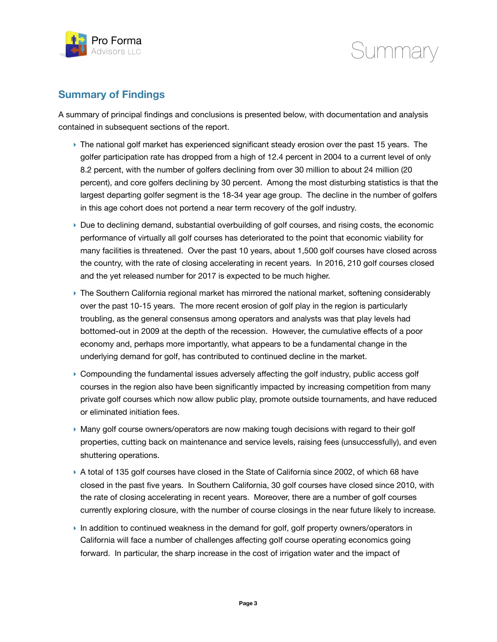



### **Summary of Findings**

A summary of principal findings and conclusions is presented below, with documentation and analysis contained in subsequent sections of the report.

- ‣ The national golf market has experienced significant steady erosion over the past 15 years. The golfer participation rate has dropped from a high of 12.4 percent in 2004 to a current level of only 8.2 percent, with the number of golfers declining from over 30 million to about 24 million (20 percent), and core golfers declining by 30 percent. Among the most disturbing statistics is that the largest departing golfer segment is the 18-34 year age group. The decline in the number of golfers in this age cohort does not portend a near term recovery of the golf industry.
- ‣ Due to declining demand, substantial overbuilding of golf courses, and rising costs, the economic performance of virtually all golf courses has deteriorated to the point that economic viability for many facilities is threatened. Over the past 10 years, about 1,500 golf courses have closed across the country, with the rate of closing accelerating in recent years. In 2016, 210 golf courses closed and the yet released number for 2017 is expected to be much higher.
- ‣ The Southern California regional market has mirrored the national market, softening considerably over the past 10-15 years. The more recent erosion of golf play in the region is particularly troubling, as the general consensus among operators and analysts was that play levels had bottomed-out in 2009 at the depth of the recession. However, the cumulative effects of a poor economy and, perhaps more importantly, what appears to be a fundamental change in the underlying demand for golf, has contributed to continued decline in the market.
- ‣ Compounding the fundamental issues adversely affecting the golf industry, public access golf courses in the region also have been significantly impacted by increasing competition from many private golf courses which now allow public play, promote outside tournaments, and have reduced or eliminated initiation fees.
- ‣ Many golf course owners/operators are now making tough decisions with regard to their golf properties, cutting back on maintenance and service levels, raising fees (unsuccessfully), and even shuttering operations.
- ▶ A total of 135 golf courses have closed in the State of California since 2002, of which 68 have closed in the past five years. In Southern California, 30 golf courses have closed since 2010, with the rate of closing accelerating in recent years. Moreover, there are a number of golf courses currently exploring closure, with the number of course closings in the near future likely to increase.
- ‣ In addition to continued weakness in the demand for golf, golf property owners/operators in California will face a number of challenges affecting golf course operating economics going forward. In particular, the sharp increase in the cost of irrigation water and the impact of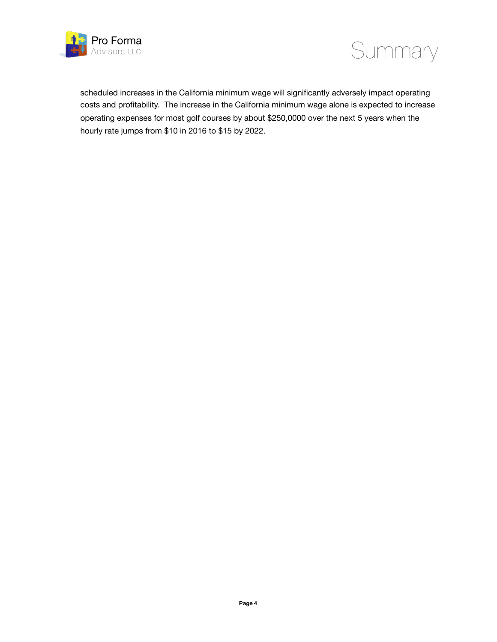



scheduled increases in the California minimum wage will significantly adversely impact operating costs and profitability. The increase in the California minimum wage alone is expected to increase operating expenses for most golf courses by about \$250,0000 over the next 5 years when the hourly rate jumps from \$10 in 2016 to \$15 by 2022.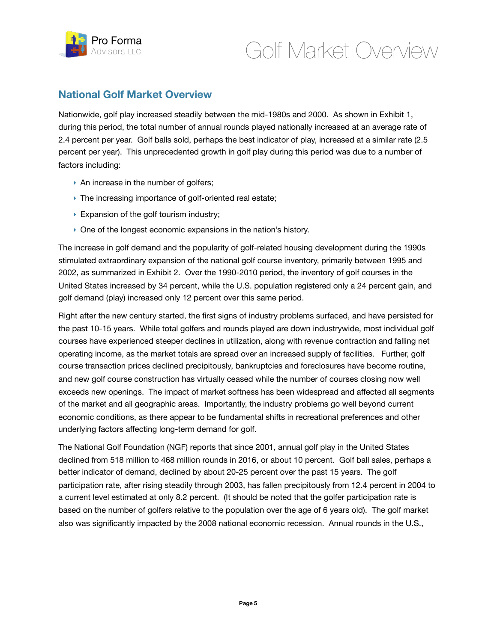

### **National Golf Market Overview**

Nationwide, golf play increased steadily between the mid-1980s and 2000. As shown in Exhibit 1, during this period, the total number of annual rounds played nationally increased at an average rate of 2.4 percent per year. Golf balls sold, perhaps the best indicator of play, increased at a similar rate (2.5 percent per year). This unprecedented growth in golf play during this period was due to a number of factors including:

- ▶ An increase in the number of golfers;
- ‣ The increasing importance of golf-oriented real estate;
- ▶ Expansion of the golf tourism industry;
- ‣ One of the longest economic expansions in the nation's history.

The increase in golf demand and the popularity of golf-related housing development during the 1990s stimulated extraordinary expansion of the national golf course inventory, primarily between 1995 and 2002, as summarized in Exhibit 2. Over the 1990-2010 period, the inventory of golf courses in the United States increased by 34 percent, while the U.S. population registered only a 24 percent gain, and golf demand (play) increased only 12 percent over this same period.

Right after the new century started, the first signs of industry problems surfaced, and have persisted for the past 10-15 years. While total golfers and rounds played are down industrywide, most individual golf courses have experienced steeper declines in utilization, along with revenue contraction and falling net operating income, as the market totals are spread over an increased supply of facilities. Further, golf course transaction prices declined precipitously, bankruptcies and foreclosures have become routine, and new golf course construction has virtually ceased while the number of courses closing now well exceeds new openings. The impact of market softness has been widespread and affected all segments of the market and all geographic areas. Importantly, the industry problems go well beyond current economic conditions, as there appear to be fundamental shifts in recreational preferences and other underlying factors affecting long-term demand for golf.

The National Golf Foundation (NGF) reports that since 2001, annual golf play in the United States declined from 518 million to 468 million rounds in 2016, or about 10 percent. Golf ball sales, perhaps a better indicator of demand, declined by about 20-25 percent over the past 15 years. The golf participation rate, after rising steadily through 2003, has fallen precipitously from 12.4 percent in 2004 to a current level estimated at only 8.2 percent. (It should be noted that the golfer participation rate is based on the number of golfers relative to the population over the age of 6 years old). The golf market also was significantly impacted by the 2008 national economic recession. Annual rounds in the U.S.,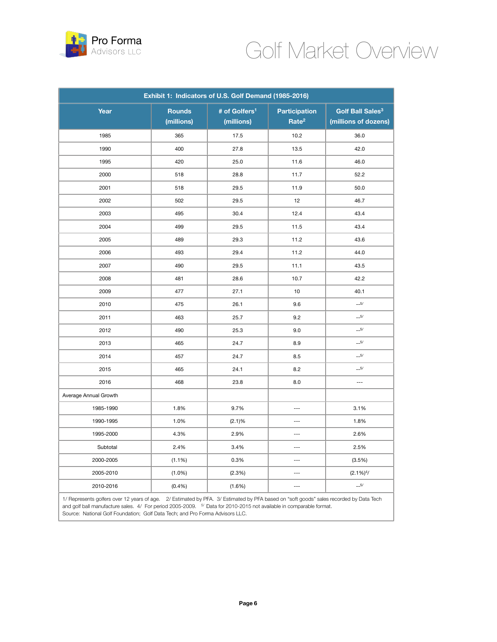

| Exhibit 1: Indicators of U.S. Golf Demand (1985-2016) |               |                           |                          |                              |  |
|-------------------------------------------------------|---------------|---------------------------|--------------------------|------------------------------|--|
| Year                                                  | <b>Rounds</b> | # of Golfers <sup>1</sup> | <b>Participation</b>     | Golf Ball Sales <sup>3</sup> |  |
|                                                       | (millions)    | (millions)                | Rate <sup>2</sup>        | (millions of dozens)         |  |
| 1985                                                  | 365           | 17.5                      | 10.2                     | 36.0                         |  |
| 1990                                                  | 400           | 27.8                      | 13.5                     | 42.0                         |  |
| 1995                                                  | 420           | 25.0                      | 11.6                     | 46.0                         |  |
| 2000                                                  | 518           | 28.8                      | 11.7                     | 52.2                         |  |
| 2001                                                  | 518           | 29.5                      | 11.9                     | 50.0                         |  |
| 2002                                                  | 502           | 29.5                      | 12                       | 46.7                         |  |
| 2003                                                  | 495           | 30.4                      | 12.4                     | 43.4                         |  |
| 2004                                                  | 499           | 29.5                      | 11.5                     | 43.4                         |  |
| 2005                                                  | 489           | 29.3                      | 11.2                     | 43.6                         |  |
| 2006                                                  | 493           | 29.4                      | 11.2                     | 44.0                         |  |
| 2007                                                  | 490           | 29.5                      | 11.1                     | 43.5                         |  |
| 2008                                                  | 481           | 28.6                      | 10.7                     | 42.2                         |  |
| 2009                                                  | 477           | 27.1                      | 10                       | 40.1                         |  |
| 2010                                                  | 475           | 26.1                      | 9.6                      | $\mathsf{L} \mathsf{=} 5$    |  |
| 2011                                                  | 463           | 25.7                      | 9.2                      | $-.5/$                       |  |
| 2012                                                  | 490           | 25.3                      | 9.0                      | $-.5/$                       |  |
| 2013                                                  | 465           | 24.7                      | 8.9                      | $-.5/$                       |  |
| 2014                                                  | 457           | 24.7                      | 8.5                      | $-.5/$                       |  |
| 2015                                                  | 465           | 24.1                      | 8.2                      | $-.5/$                       |  |
| 2016                                                  | 468           | 23.8                      | 8.0                      | $\overline{a}$               |  |
| Average Annual Growth                                 |               |                           |                          |                              |  |
| 1985-1990                                             | 1.8%          | 9.7%                      | ---                      | 3.1%                         |  |
| 1990-1995                                             | 1.0%          | (2.1)%                    | $\overline{\phantom{a}}$ | 1.8%                         |  |
| 1995-2000                                             | 4.3%          | 2.9%                      | $\overline{a}$           | 2.6%                         |  |
| Subtotal                                              | 2.4%          | 3.4%                      | $\overline{a}$           | 2.5%                         |  |
| 2000-2005                                             | $(1.1\%)$     | 0.3%                      | $\overline{a}$           | (3.5%)                       |  |
| 2005-2010                                             | (1.0%         | (2.3%)                    | ---                      | $(2.1\%)4$                   |  |
| 2010-2016                                             | (0.4%)        | (1.6%)                    | $---$                    | $-.5/$                       |  |

1/ Represents golfers over 12 years of age. 2/ Estimated by PFA. 3/ Estimated by PFA based on "soft goods" sales recorded by Data Tech and golf ball manufacture sales. 4/ For period 2005-2009. <sup>5/</sup> Data for 2010-2015 not available in comparable format. Source: National Golf Foundation; Golf Data Tech; and Pro Forma Advisors LLC.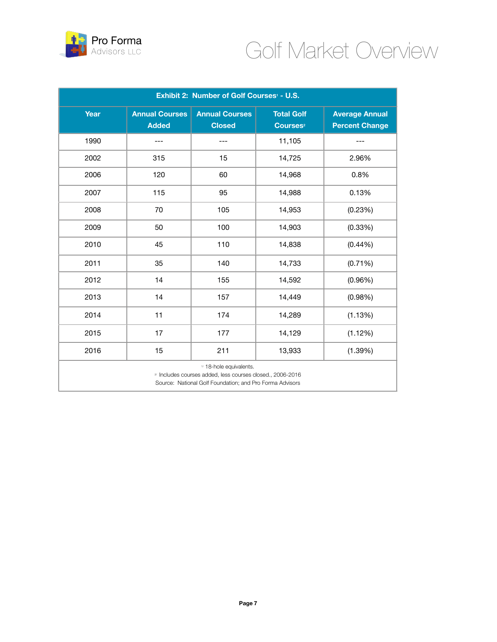

| Exhibit 2: Number of Golf Courses <sup>1</sup> - U.S.                                                                                                       |                                       |                                        |                                           |                                                |  |
|-------------------------------------------------------------------------------------------------------------------------------------------------------------|---------------------------------------|----------------------------------------|-------------------------------------------|------------------------------------------------|--|
| Year                                                                                                                                                        | <b>Annual Courses</b><br><b>Added</b> | <b>Annual Courses</b><br><b>Closed</b> | <b>Total Golf</b><br>Courses <sup>2</sup> | <b>Average Annual</b><br><b>Percent Change</b> |  |
| 1990                                                                                                                                                        |                                       |                                        | 11,105                                    |                                                |  |
| 2002                                                                                                                                                        | 315                                   | 15                                     | 14,725                                    | 2.96%                                          |  |
| 2006                                                                                                                                                        | 120                                   | 60                                     | 14,968                                    | 0.8%                                           |  |
| 2007                                                                                                                                                        | 115                                   | 95                                     | 14,988                                    | 0.13%                                          |  |
| 2008                                                                                                                                                        | 70                                    | 105                                    | 14,953                                    | (0.23%)                                        |  |
| 2009                                                                                                                                                        | 50                                    | 100                                    | 14,903                                    | (0.33%)                                        |  |
| 2010                                                                                                                                                        | 45                                    | 110                                    | 14,838                                    | (0.44%)                                        |  |
| 2011                                                                                                                                                        | 35                                    | 140                                    | 14,733                                    | $(0.71\%)$                                     |  |
| 2012                                                                                                                                                        | 14                                    | 155                                    | 14,592                                    | (0.96%)                                        |  |
| 2013                                                                                                                                                        | 14                                    | 157                                    | 14,449                                    | (0.98%)                                        |  |
| 2014                                                                                                                                                        | 11                                    | 174                                    | 14,289                                    | (1.13%)                                        |  |
| 2015                                                                                                                                                        | 17                                    | 177                                    | 14,129                                    | (1.12%)                                        |  |
| 2016                                                                                                                                                        | 15                                    | 211                                    | 13,933                                    | (1.39%)                                        |  |
| v 18-hole equivalents.<br><sup>2/</sup> Includes courses added, less courses closed., 2006-2016<br>Source: National Golf Foundation; and Pro Forma Advisors |                                       |                                        |                                           |                                                |  |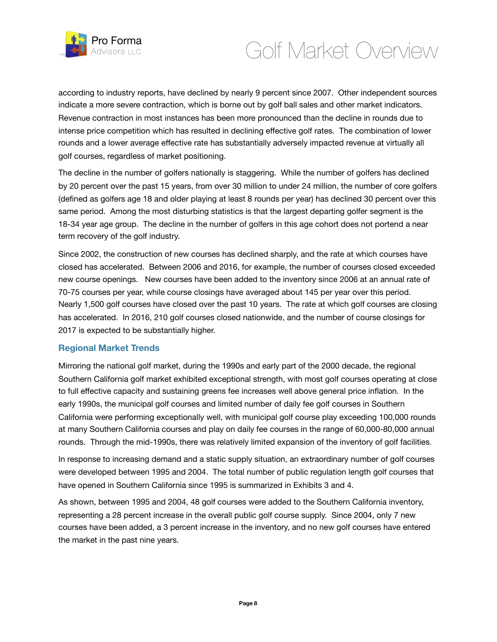

according to industry reports, have declined by nearly 9 percent since 2007. Other independent sources indicate a more severe contraction, which is borne out by golf ball sales and other market indicators. Revenue contraction in most instances has been more pronounced than the decline in rounds due to intense price competition which has resulted in declining effective golf rates. The combination of lower rounds and a lower average effective rate has substantially adversely impacted revenue at virtually all golf courses, regardless of market positioning.

The decline in the number of golfers nationally is staggering. While the number of golfers has declined by 20 percent over the past 15 years, from over 30 million to under 24 million, the number of core golfers (defined as golfers age 18 and older playing at least 8 rounds per year) has declined 30 percent over this same period. Among the most disturbing statistics is that the largest departing golfer segment is the 18-34 year age group. The decline in the number of golfers in this age cohort does not portend a near term recovery of the golf industry.

Since 2002, the construction of new courses has declined sharply, and the rate at which courses have closed has accelerated. Between 2006 and 2016, for example, the number of courses closed exceeded new course openings. New courses have been added to the inventory since 2006 at an annual rate of 70-75 courses per year, while course closings have averaged about 145 per year over this period. Nearly 1,500 golf courses have closed over the past 10 years. The rate at which golf courses are closing has accelerated. In 2016, 210 golf courses closed nationwide, and the number of course closings for 2017 is expected to be substantially higher.

#### **Regional Market Trends**

Mirroring the national golf market, during the 1990s and early part of the 2000 decade, the regional Southern California golf market exhibited exceptional strength, with most golf courses operating at close to full effective capacity and sustaining greens fee increases well above general price inflation. In the early 1990s, the municipal golf courses and limited number of daily fee golf courses in Southern California were performing exceptionally well, with municipal golf course play exceeding 100,000 rounds at many Southern California courses and play on daily fee courses in the range of 60,000-80,000 annual rounds. Through the mid-1990s, there was relatively limited expansion of the inventory of golf facilities.

In response to increasing demand and a static supply situation, an extraordinary number of golf courses were developed between 1995 and 2004. The total number of public regulation length golf courses that have opened in Southern California since 1995 is summarized in Exhibits 3 and 4.

As shown, between 1995 and 2004, 48 golf courses were added to the Southern California inventory, representing a 28 percent increase in the overall public golf course supply. Since 2004, only 7 new courses have been added, a 3 percent increase in the inventory, and no new golf courses have entered the market in the past nine years.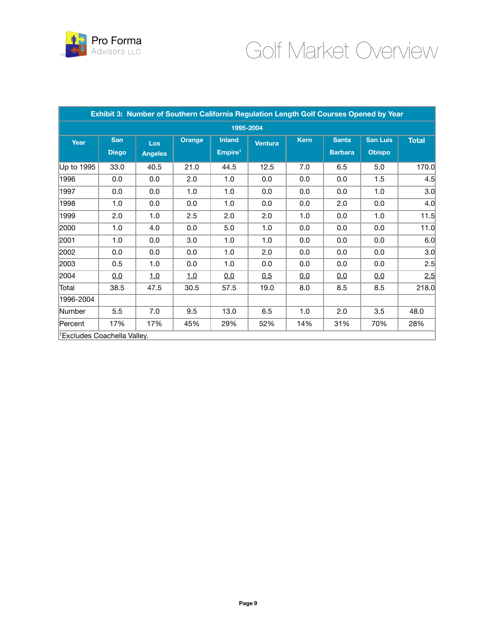

| Exhibit 3: Number of Southern California Regulation Length Golf Courses Opened by Year |              |                |            |                     |         |             |                |                 |              |
|----------------------------------------------------------------------------------------|--------------|----------------|------------|---------------------|---------|-------------|----------------|-----------------|--------------|
| 1995-2004                                                                              |              |                |            |                     |         |             |                |                 |              |
| Year                                                                                   | <b>San</b>   | Los            | Orange     | <b>Inland</b>       | Ventura | <b>Kern</b> | <b>Santa</b>   | <b>San Luis</b> | <b>Total</b> |
|                                                                                        | <b>Diego</b> | <b>Angeles</b> |            | Empire <sup>1</sup> |         |             | <b>Barbara</b> | <b>Obispo</b>   |              |
| Up to 1995                                                                             | 33.0         | 40.5           | 21.0       | 44.5                | 12.5    | 7.0         | 6.5            | 5.0             | 170.0        |
| 1996                                                                                   | 0.0          | 0.0            | 2.0        | 1.0                 | 0.0     | 0.0         | 0.0            | 1.5             | 4.5          |
| 1997                                                                                   | 0.0          | 0.0            | 1.0        | 1.0                 | 0.0     | 0.0         | 0.0            | 1.0             | 3.0          |
| 1998                                                                                   | 1.0          | 0.0            | 0.0        | 1.0                 | 0.0     | 0.0         | 2.0            | 0.0             | 4.0          |
| 1999                                                                                   | 2.0          | 1.0            | 2.5        | 2.0                 | 2.0     | 1.0         | 0.0            | 1.0             | 11.5         |
| 2000                                                                                   | 1.0          | 4.0            | 0.0        | 5.0                 | 1.0     | 0.0         | 0.0            | 0.0             | 11.0         |
| 2001                                                                                   | 1.0          | 0.0            | 3.0        | 1.0                 | 1.0     | 0.0         | 0.0            | 0.0             | 6.0          |
| 2002                                                                                   | 0.0          | 0.0            | 0.0        | 1.0                 | 2.0     | 0.0         | 0.0            | 0.0             | 3.0          |
| 2003                                                                                   | 0.5          | 1.0            | 0.0        | 1.0                 | 0.0     | 0.0         | 0.0            | 0.0             | 2.5          |
| 2004                                                                                   | 0.0          | <u>1.0</u>     | <u>1.0</u> | 0.0                 | 0.5     | 0.0         | <u>0.0</u>     | 0.0             | 2.5          |
| Total                                                                                  | 38.5         | 47.5           | 30.5       | 57.5                | 19.0    | 8.0         | 8.5            | 8.5             | 218.0        |
| 1996-2004                                                                              |              |                |            |                     |         |             |                |                 |              |
| Number                                                                                 | 5.5          | 7.0            | 9.5        | 13.0                | 6.5     | 1.0         | 2.0            | 3.5             | 48.0         |
| Percent                                                                                | 17%          | 17%            | 45%        | 29%                 | 52%     | 14%         | 31%            | 70%             | 28%          |
| <sup>1</sup> Excludes Coachella Valley.                                                |              |                |            |                     |         |             |                |                 |              |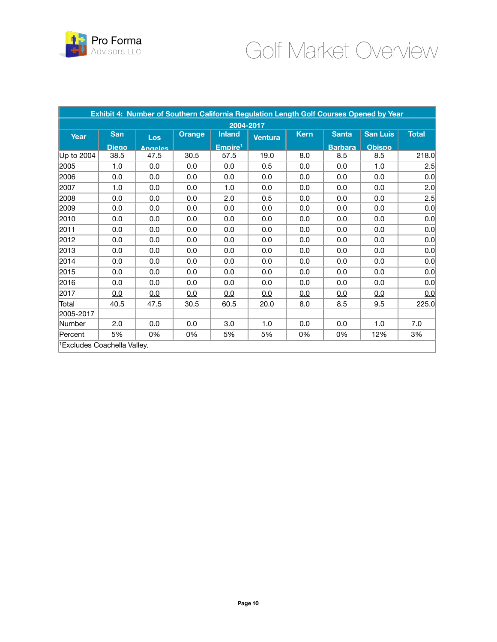

| Exhibit 4: Number of Southern California Regulation Length Golf Courses Opened by Year |              |                |               |                     |                |             |                |                 |              |
|----------------------------------------------------------------------------------------|--------------|----------------|---------------|---------------------|----------------|-------------|----------------|-----------------|--------------|
| 2004-2017                                                                              |              |                |               |                     |                |             |                |                 |              |
| Year                                                                                   | <b>San</b>   | Los            | <b>Orange</b> | <b>Inland</b>       | <b>Ventura</b> | <b>Kern</b> | <b>Santa</b>   | <b>San Luis</b> | <b>Total</b> |
|                                                                                        | <b>Diego</b> | <b>Angeles</b> |               | Empire <sup>1</sup> |                |             | <b>Barbara</b> | <b>Obispo</b>   |              |
| Up to 2004                                                                             | 38.5         | 47.5           | 30.5          | 57.5                | 19.0           | 8.0         | 8.5            | 8.5             | 218.0        |
| 2005                                                                                   | 1.0          | 0.0            | 0.0           | 0.0                 | 0.5            | 0.0         | 0.0            | 1.0             | 2.5          |
| 2006                                                                                   | 0.0          | 0.0            | 0.0           | 0.0                 | 0.0            | 0.0         | 0.0            | 0.0             | 0.0          |
| 2007                                                                                   | 1.0          | 0.0            | 0.0           | 1.0                 | 0.0            | 0.0         | 0.0            | 0.0             | 2.0          |
| 2008                                                                                   | 0.0          | 0.0            | 0.0           | 2.0                 | 0.5            | 0.0         | 0.0            | 0.0             | 2.5          |
| 2009                                                                                   | 0.0          | 0.0            | 0.0           | 0.0                 | 0.0            | 0.0         | 0.0            | 0.0             | 0.0          |
| 2010                                                                                   | 0.0          | 0.0            | 0.0           | 0.0                 | 0.0            | 0.0         | 0.0            | 0.0             | 0.0          |
| 2011                                                                                   | 0.0          | 0.0            | 0.0           | 0.0                 | 0.0            | 0.0         | 0.0            | 0.0             | 0.0          |
| 2012                                                                                   | 0.0          | 0.0            | 0.0           | 0.0                 | 0.0            | 0.0         | 0.0            | 0.0             | 0.0          |
| 2013                                                                                   | 0.0          | 0.0            | 0.0           | 0.0                 | 0.0            | 0.0         | 0.0            | 0.0             | 0.0          |
| 2014                                                                                   | 0.0          | 0.0            | 0.0           | 0.0                 | 0.0            | 0.0         | 0.0            | 0.0             | 0.0          |
| 2015                                                                                   | 0.0          | 0.0            | 0.0           | 0.0                 | 0.0            | 0.0         | 0.0            | 0.0             | 0.0          |
| 2016                                                                                   | 0.0          | 0.0            | 0.0           | 0.0                 | 0.0            | 0.0         | 0.0            | 0.0             | 0.0          |
| 2017                                                                                   | 0.0          | 0.0            | 0.0           | 0.0                 | 0.0            | 0.0         | 0.0            | 0.0             | 0.0          |
| Total                                                                                  | 40.5         | 47.5           | 30.5          | 60.5                | 20.0           | 8.0         | 8.5            | 9.5             | 225.0        |
| 2005-2017                                                                              |              |                |               |                     |                |             |                |                 |              |
| Number                                                                                 | 2.0          | 0.0            | 0.0           | 3.0                 | 1.0            | 0.0         | 0.0            | 1.0             | 7.0          |
| Percent                                                                                | 5%           | 0%             | 0%            | 5%                  | 5%             | 0%          | 0%             | 12%             | 3%           |
| <sup>1</sup> Excludes Coachella Valley.                                                |              |                |               |                     |                |             |                |                 |              |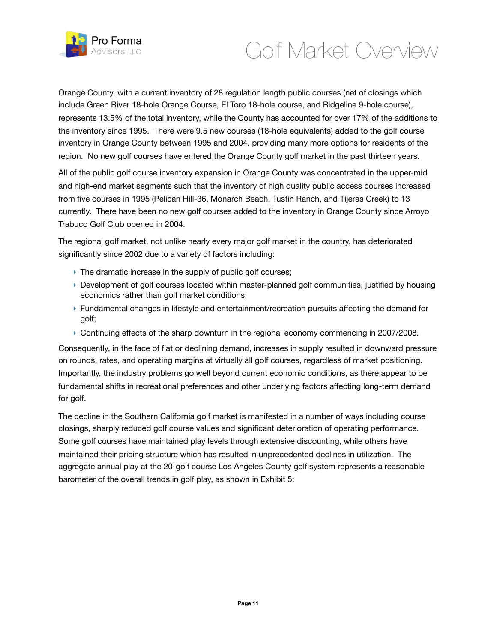

Orange County, with a current inventory of 28 regulation length public courses (net of closings which include Green River 18-hole Orange Course, El Toro 18-hole course, and Ridgeline 9-hole course), represents 13.5% of the total inventory, while the County has accounted for over 17% of the additions to the inventory since 1995. There were 9.5 new courses (18-hole equivalents) added to the golf course inventory in Orange County between 1995 and 2004, providing many more options for residents of the region. No new golf courses have entered the Orange County golf market in the past thirteen years.

All of the public golf course inventory expansion in Orange County was concentrated in the upper-mid and high-end market segments such that the inventory of high quality public access courses increased from five courses in 1995 (Pelican Hill-36, Monarch Beach, Tustin Ranch, and Tijeras Creek) to 13 currently. There have been no new golf courses added to the inventory in Orange County since Arroyo Trabuco Golf Club opened in 2004.

The regional golf market, not unlike nearly every major golf market in the country, has deteriorated significantly since 2002 due to a variety of factors including:

- ▶ The dramatic increase in the supply of public golf courses;
- ‣ Development of golf courses located within master-planned golf communities, justified by housing economics rather than golf market conditions;
- ‣ Fundamental changes in lifestyle and entertainment/recreation pursuits affecting the demand for golf;
- ‣ Continuing effects of the sharp downturn in the regional economy commencing in 2007/2008.

Consequently, in the face of flat or declining demand, increases in supply resulted in downward pressure on rounds, rates, and operating margins at virtually all golf courses, regardless of market positioning. Importantly, the industry problems go well beyond current economic conditions, as there appear to be fundamental shifts in recreational preferences and other underlying factors affecting long-term demand for golf.

The decline in the Southern California golf market is manifested in a number of ways including course closings, sharply reduced golf course values and significant deterioration of operating performance. Some golf courses have maintained play levels through extensive discounting, while others have maintained their pricing structure which has resulted in unprecedented declines in utilization. The aggregate annual play at the 20-golf course Los Angeles County golf system represents a reasonable barometer of the overall trends in golf play, as shown in Exhibit 5: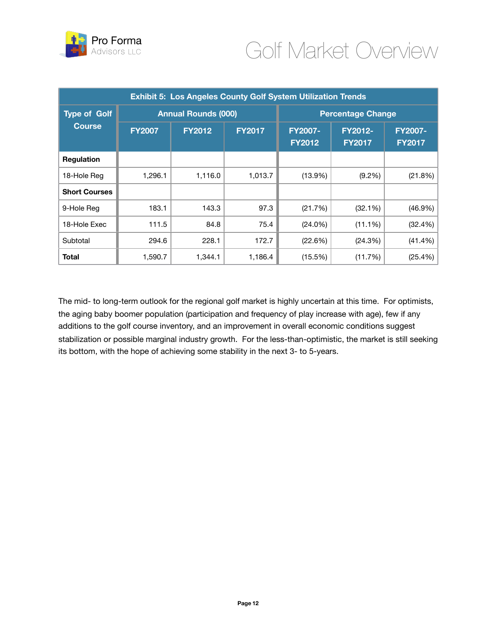

| <b>Exhibit 5: Los Angeles County Golf System Utilization Trends</b> |                            |               |               |                                 |                                 |                                 |  |
|---------------------------------------------------------------------|----------------------------|---------------|---------------|---------------------------------|---------------------------------|---------------------------------|--|
| <b>Type of Golf</b>                                                 | <b>Annual Rounds (000)</b> |               |               | <b>Percentage Change</b>        |                                 |                                 |  |
| <b>Course</b>                                                       | <b>FY2007</b>              | <b>FY2012</b> | <b>FY2017</b> | <b>FY2007-</b><br><b>FY2012</b> | <b>FY2012-</b><br><b>FY2017</b> | <b>FY2007-</b><br><b>FY2017</b> |  |
| <b>Regulation</b>                                                   |                            |               |               |                                 |                                 |                                 |  |
| 18-Hole Reg                                                         | 1,296.1                    | 1,116.0       | 1,013.7       | $(13.9\%)$                      | $(9.2\%)$                       | (21.8%)                         |  |
| <b>Short Courses</b>                                                |                            |               |               |                                 |                                 |                                 |  |
| 9-Hole Reg                                                          | 183.1                      | 143.3         | 97.3          | (21.7%)                         | (32.1%)                         | $(46.9\%)$                      |  |
| 18-Hole Exec                                                        | 111.5                      | 84.8          | 75.4          | $(24.0\%)$                      | $(11.1\%)$                      | (32.4%)                         |  |
| Subtotal                                                            | 294.6                      | 228.1         | 172.7         | (22.6%)                         | (24.3%)                         | $(41.4\%)$                      |  |
| <b>Total</b>                                                        | 1,590.7                    | 1,344.1       | 1,186.4       | (15.5%)                         | (11.7%)                         | (25.4%)                         |  |

The mid- to long-term outlook for the regional golf market is highly uncertain at this time. For optimists, the aging baby boomer population (participation and frequency of play increase with age), few if any additions to the golf course inventory, and an improvement in overall economic conditions suggest stabilization or possible marginal industry growth. For the less-than-optimistic, the market is still seeking its bottom, with the hope of achieving some stability in the next 3- to 5-years.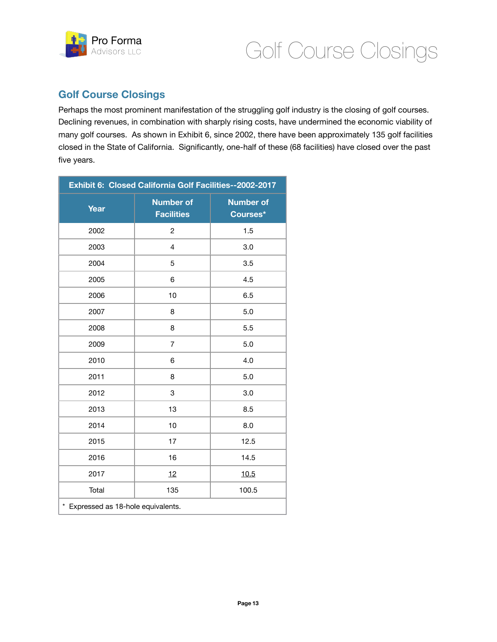

### **Golf Course Closings**

Perhaps the most prominent manifestation of the struggling golf industry is the closing of golf courses. Declining revenues, in combination with sharply rising costs, have undermined the economic viability of many golf courses. As shown in Exhibit 6, since 2002, there have been approximately 135 golf facilities closed in the State of California. Significantly, one-half of these (68 facilities) have closed over the past five years.

| Exhibit 6: Closed California Golf Facilities--2002-2017 |                                       |                              |  |  |  |
|---------------------------------------------------------|---------------------------------------|------------------------------|--|--|--|
| Year                                                    | <b>Number of</b><br><b>Facilities</b> | <b>Number of</b><br>Courses* |  |  |  |
| 2002                                                    | $\overline{c}$                        | 1.5                          |  |  |  |
| 2003                                                    | 4                                     | 3.0                          |  |  |  |
| 2004                                                    | 5                                     | 3.5                          |  |  |  |
| 2005                                                    | 6                                     | 4.5                          |  |  |  |
| 2006                                                    | 10                                    | 6.5                          |  |  |  |
| 2007                                                    | 8                                     | 5.0                          |  |  |  |
| 2008                                                    | 8                                     | 5.5                          |  |  |  |
| 2009                                                    | 7                                     | 5.0                          |  |  |  |
| 2010                                                    | 6                                     | 4.0                          |  |  |  |
| 2011                                                    | 8                                     | 5.0                          |  |  |  |
| 2012                                                    | 3                                     | 3.0                          |  |  |  |
| 2013                                                    | 13                                    | 8.5                          |  |  |  |
| 2014                                                    | 10                                    | 8.0                          |  |  |  |
| 2015                                                    | 17                                    | 12.5                         |  |  |  |
| 2016                                                    | 16                                    | 14.5                         |  |  |  |
| 2017                                                    | 12                                    | 10.5                         |  |  |  |
| Total                                                   | 135                                   | 100.5                        |  |  |  |
| * Expressed as 18-hole equivalents.                     |                                       |                              |  |  |  |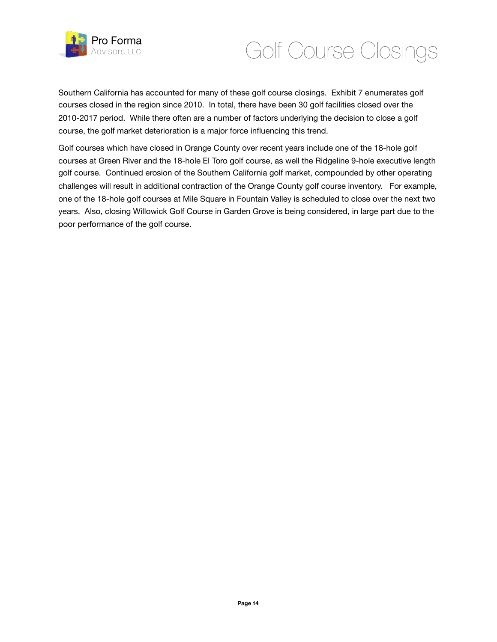

## Golf Course Closings

Southern California has accounted for many of these golf course closings. Exhibit 7 enumerates golf courses closed in the region since 2010. In total, there have been 30 golf facilities closed over the 2010-2017 period. While there often are a number of factors underlying the decision to close a golf course, the golf market deterioration is a major force influencing this trend.

Golf courses which have closed in Orange County over recent years include one of the 18-hole golf courses at Green River and the 18-hole El Toro golf course, as well the Ridgeline 9-hole executive length golf course. Continued erosion of the Southern California golf market, compounded by other operating challenges will result in additional contraction of the Orange County golf course inventory. For example, one of the 18-hole golf courses at Mile Square in Fountain Valley is scheduled to close over the next two years. Also, closing Willowick Golf Course in Garden Grove is being considered, in large part due to the poor performance of the golf course.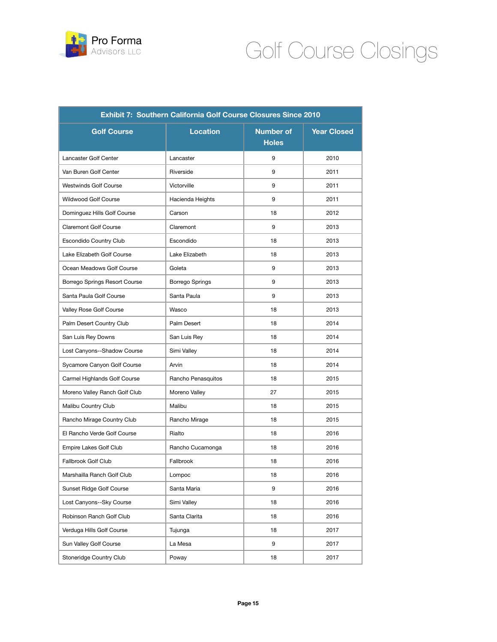

# Golf Course Closings

| Exhibit 7: Southern California Golf Course Closures Since 2010 |                    |                           |                    |  |  |
|----------------------------------------------------------------|--------------------|---------------------------|--------------------|--|--|
| <b>Golf Course</b>                                             | <b>Location</b>    | Number of<br><b>Holes</b> | <b>Year Closed</b> |  |  |
| Lancaster Golf Center                                          | Lancaster          | 9                         | 2010               |  |  |
| Van Buren Golf Center                                          | Riverside          | 9                         | 2011               |  |  |
| <b>Westwinds Golf Course</b>                                   | Victorville        | 9                         | 2011               |  |  |
| <b>Wildwood Golf Course</b>                                    | Hacienda Heights   | 9                         | 2011               |  |  |
| Dominguez Hills Golf Course                                    | Carson             | 18                        | 2012               |  |  |
| <b>Claremont Golf Course</b>                                   | Claremont          | 9                         | 2013               |  |  |
| Escondido Country Club                                         | Escondido          | 18                        | 2013               |  |  |
| Lake Elizabeth Golf Course                                     | Lake Elizabeth     | 18                        | 2013               |  |  |
| Ocean Meadows Golf Course                                      | Goleta             | 9                         | 2013               |  |  |
| Borrego Springs Resort Course                                  | Borrego Springs    | 9                         | 2013               |  |  |
| Santa Paula Golf Course                                        | Santa Paula        | 9                         | 2013               |  |  |
| Valley Rose Golf Course                                        | Wasco              | 18                        | 2013               |  |  |
| Palm Desert Country Club                                       | Palm Desert        | 18                        | 2014               |  |  |
| San Luis Rey Downs                                             | San Luis Rey       | 18                        | 2014               |  |  |
| Lost Canyons--Shadow Course                                    | Simi Valley        | 18                        | 2014               |  |  |
| Sycamore Canyon Golf Course                                    | Arvin              | 18                        | 2014               |  |  |
| Carmel Highlands Golf Course                                   | Rancho Penasquitos | 18                        | 2015               |  |  |
| Moreno Valley Ranch Golf Club                                  | Moreno Valley      | 27                        | 2015               |  |  |
| Malibu Country Club                                            | Malibu             | 18                        | 2015               |  |  |
| Rancho Mirage Country Club                                     | Rancho Mirage      | 18                        | 2015               |  |  |
| El Rancho Verde Golf Course                                    | Rialto             | 18                        | 2016               |  |  |
| Empire Lakes Golf Club                                         | Rancho Cucamonga   | 18                        | 2016               |  |  |
| <b>Fallbrook Golf Club</b>                                     | Fallbrook          | 18                        | 2016               |  |  |
| Marshailla Ranch Golf Club                                     | Lompoc             | 18                        | 2016               |  |  |
| Sunset Ridge Golf Course                                       | Santa Maria        | 9                         | 2016               |  |  |
| Lost Canyons--Sky Course                                       | Simi Valley        | 18                        | 2016               |  |  |
| Robinson Ranch Golf Club                                       | Santa Clarita      | 18                        | 2016               |  |  |
| Verduga Hills Golf Course                                      | Tujunga            | 18                        | 2017               |  |  |
| Sun Valley Golf Course                                         | La Mesa            | 9                         | 2017               |  |  |
| Stoneridge Country Club                                        | Poway              | 18                        | 2017               |  |  |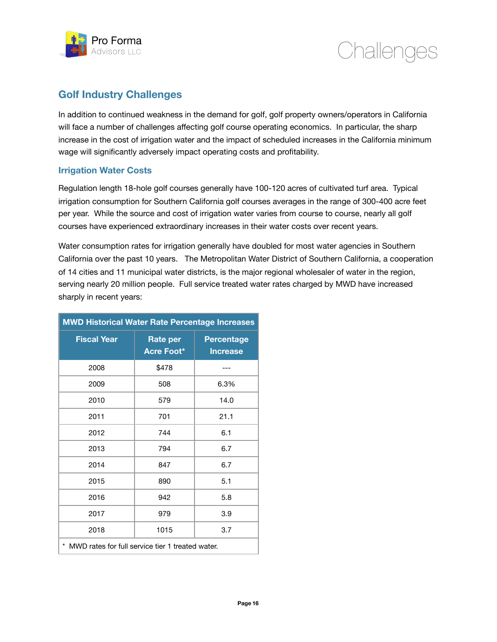



### **Golf Industry Challenges**

In addition to continued weakness in the demand for golf, golf property owners/operators in California will face a number of challenges affecting golf course operating economics. In particular, the sharp increase in the cost of irrigation water and the impact of scheduled increases in the California minimum wage will significantly adversely impact operating costs and profitability.

#### **Irrigation Water Costs**

Regulation length 18-hole golf courses generally have 100-120 acres of cultivated turf area. Typical irrigation consumption for Southern California golf courses averages in the range of 300-400 acre feet per year. While the source and cost of irrigation water varies from course to course, nearly all golf courses have experienced extraordinary increases in their water costs over recent years.

Water consumption rates for irrigation generally have doubled for most water agencies in Southern California over the past 10 years. The Metropolitan Water District of Southern California, a cooperation of 14 cities and 11 municipal water districts, is the major regional wholesaler of water in the region, serving nearly 20 million people. Full service treated water rates charged by MWD have increased sharply in recent years:

| MWD Historical Water Rate Percentage Increases        |                        |                                      |  |  |  |
|-------------------------------------------------------|------------------------|--------------------------------------|--|--|--|
| <b>Fiscal Year</b>                                    | Rate per<br>Acre Foot* | <b>Percentage</b><br><b>Increase</b> |  |  |  |
| 2008                                                  | \$478                  |                                      |  |  |  |
| 2009                                                  | 508                    | 6.3%                                 |  |  |  |
| 2010                                                  | 579                    | 14.0                                 |  |  |  |
| 2011                                                  | 701                    | 21.1                                 |  |  |  |
| 2012                                                  | 744                    | 6.1                                  |  |  |  |
| 2013                                                  | 794                    | 6.7                                  |  |  |  |
| 2014                                                  | 847                    | 6.7                                  |  |  |  |
| 2015                                                  | 890                    | 5.1                                  |  |  |  |
| 2016                                                  | 942                    | 5.8                                  |  |  |  |
| 2017                                                  | 979                    | 3.9                                  |  |  |  |
| 2018                                                  | 1015                   | 3.7                                  |  |  |  |
| *<br>MWD rates for full service tier 1 treated water. |                        |                                      |  |  |  |

**MWD Historical Water Rate Percentage Increases**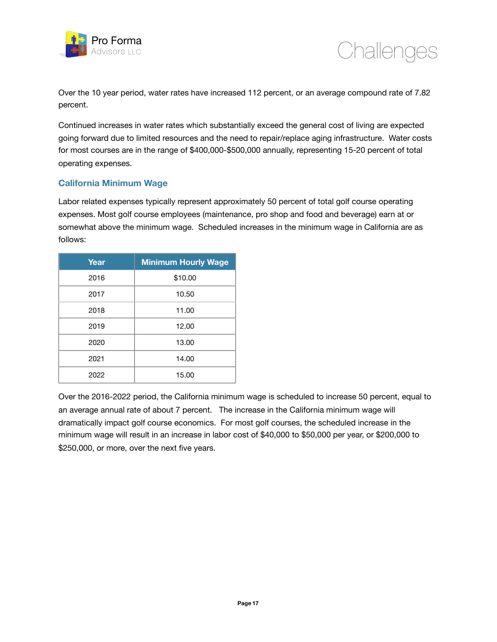



Over the 10 year period, water rates have increased 112 percent, or an average compound rate of 7.82 percent.

Continued increases in water rates which substantially exceed the general cost of living are expected going forward due to limited resources and the need to repair/replace aging infrastructure. Water costs for most courses are in the range of \$400,000-\$500,000 annually, representing 15-20 percent of total operating expenses.

#### **California Minimum Wage**

Labor related expenses typically represent approximately 50 percent of total golf course operating expenses. Most golf course employees (maintenance, pro shop and food and beverage) earn at or somewhat above the minimum wage. Scheduled increases in the minimum wage in California are as follows:

| Year | <b>Minimum Hourly Wage</b> |
|------|----------------------------|
| 2016 | \$10.00                    |
| 2017 | 10.50                      |
| 2018 | 11.00                      |
| 2019 | 12.00                      |
| 2020 | 13.00                      |
| 2021 | 14.00                      |
| 2022 | 15.00                      |

Over the 2016-2022 period, the California minimum wage is scheduled to increase 50 percent, equal to an average annual rate of about 7 percent. The increase in the California minimum wage will dramatically impact golf course economics. For most golf courses, the scheduled increase in the minimum wage will result in an increase in labor cost of \$40,000 to \$50,000 per year, or \$200,000 to \$250,000, or more, over the next five years.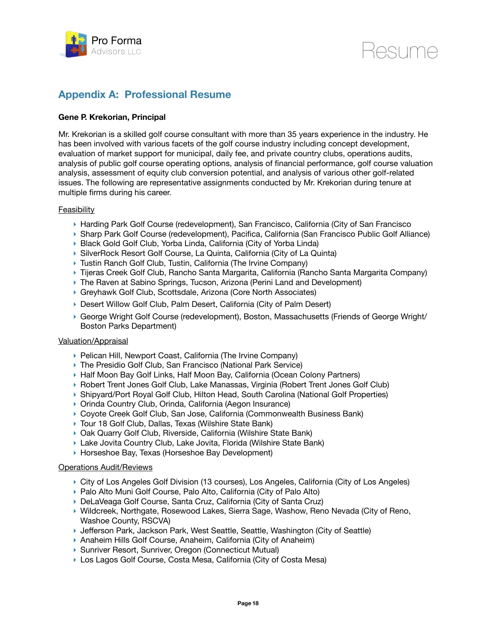

Resume

### **Appendix A: Professional Resume**

#### **Gene P. Krekorian, Principal**

Mr. Krekorian is a skilled golf course consultant with more than 35 years experience in the industry. He has been involved with various facets of the golf course industry including concept development, evaluation of market support for municipal, daily fee, and private country clubs, operations audits, analysis of public golf course operating options, analysis of financial performance, golf course valuation analysis, assessment of equity club conversion potential, and analysis of various other golf-related issues. The following are representative assignments conducted by Mr. Krekorian during tenure at multiple firms during his career.

#### Feasibility

- ‣ Harding Park Golf Course (redevelopment), San Francisco, California (City of San Francisco
- ‣ Sharp Park Golf Course (redevelopment), Pacifica, California (San Francisco Public Golf Alliance)
- ▶ Black Gold Golf Club, Yorba Linda, California (City of Yorba Linda)
- ‣ SilverRock Resort Golf Course, La Quinta, California (City of La Quinta)
- ‣ Tustin Ranch Golf Club, Tustin, California (The Irvine Company)
- ‣ Tijeras Creek Golf Club, Rancho Santa Margarita, California (Rancho Santa Margarita Company)
- ‣ The Raven at Sabino Springs, Tucson, Arizona (Perini Land and Development)
- ‣ Greyhawk Golf Club, Scottsdale, Arizona (Core North Associates)
- ‣ Desert Willow Golf Club, Palm Desert, California (City of Palm Desert)
- ‣ George Wright Golf Course (redevelopment), Boston, Massachusetts (Friends of George Wright/ Boston Parks Department)

#### Valuation/Appraisal

- ‣ Pelican Hill, Newport Coast, California (The Irvine Company)
- ‣ The Presidio Golf Club, San Francisco (National Park Service)
- ‣ Half Moon Bay Golf Links, Half Moon Bay, California (Ocean Colony Partners)
- ‣ Robert Trent Jones Golf Club, Lake Manassas, Virginia (Robert Trent Jones Golf Club)
- ▶ Shipyard/Port Royal Golf Club, Hilton Head, South Carolina (National Golf Properties)
- ‣ Orinda Country Club, Orinda, California (Aegon Insurance)
- ‣ Coyote Creek Golf Club, San Jose, California (Commonwealth Business Bank)
- ‣ Tour 18 Golf Club, Dallas, Texas (Wilshire State Bank)
- ‣ Oak Quarry Golf Club, Riverside, California (Wilshire State Bank)
- ‣ Lake Jovita Country Club, Lake Jovita, Florida (Wilshire State Bank)
- ‣ Horseshoe Bay, Texas (Horseshoe Bay Development)

#### Operations Audit/Reviews

- ‣ City of Los Angeles Golf Division (13 courses), Los Angeles, California (City of Los Angeles)
- ‣ Palo Alto Muni Golf Course, Palo Alto, California (City of Palo Alto)
- ‣ DeLaVeaga Golf Course, Santa Cruz, California (City of Santa Cruz)
- ‣ Wildcreek, Northgate, Rosewood Lakes, Sierra Sage, Washow, Reno Nevada (City of Reno, Washoe County, RSCVA)
- ‣ Jefferson Park, Jackson Park, West Seattle, Seattle, Washington (City of Seattle)
- ‣ Anaheim Hills Golf Course, Anaheim, California (City of Anaheim)
- ‣ Sunriver Resort, Sunriver, Oregon (Connecticut Mutual)
- ‣ Los Lagos Golf Course, Costa Mesa, California (City of Costa Mesa)